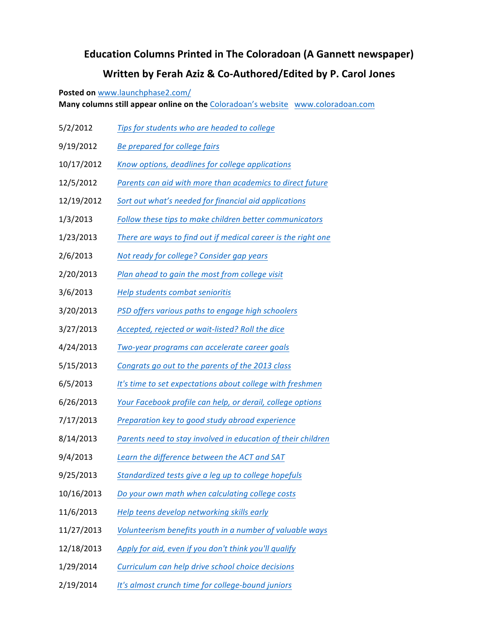## **Education Columns Printed in The Coloradoan (A Gannett newspaper) Written by Ferah Aziz & Co-Authored/Edited by P. Carol Jones**

**Posted on www.launchphase2.com/** 

**Many columns still appear online on the Coloradoan's website www.coloradoan.com** 

- 5/2/2012 *Tips for students who are headed to college*
- 9/19/2012 *Be prepared for college fairs*
- 10/17/2012 *Know options, deadlines for college applications*
- 12/5/2012 Parents can aid with more than academics to direct future
- 12/19/2012 Sort out what's needed for financial aid applications
- 1/3/2013 Follow these tips to make children better communicators
- 1/23/2013 There are ways to find out if medical career is the right one
- 2/6/2013 *Not ready for college? Consider gap years*
- 2/20/2013 *Plan ahead to gain the most from college visit*
- 3/6/2013 *Help students combat senioritis*
- 3/20/2013 *PSD offers various paths to engage high schoolers*
- 3/27/2013 Accepted, rejected or wait-listed? Roll the dice
- 4/24/2013 *Two-year programs can accelerate career goals*
- 5/15/2013 Congrats go out to the parents of the 2013 class
- 6/5/2013 *It's time to set expectations about college with freshmen*
- 6/26/2013 Your Facebook profile can help, or derail, college options
- 7/17/2013 *Preparation key to good study abroad experience*
- 8/14/2013 Parents need to stay involved in education of their children
- 9/4/2013 Learn the difference between the ACT and SAT
- 9/25/2013 *Standardized tests give a leg up to college hopefuls*
- 10/16/2013 *Do your own math when calculating college costs*
- 11/6/2013 Help teens develop networking skills early
- 11/27/2013 Volunteerism benefits youth in a number of valuable ways
- 12/18/2013 Apply for aid, even if you don't think you'll qualify
- 1/29/2014 Curriculum can help drive school choice decisions
- 2/19/2014 *It's almost crunch time for college-bound juniors*